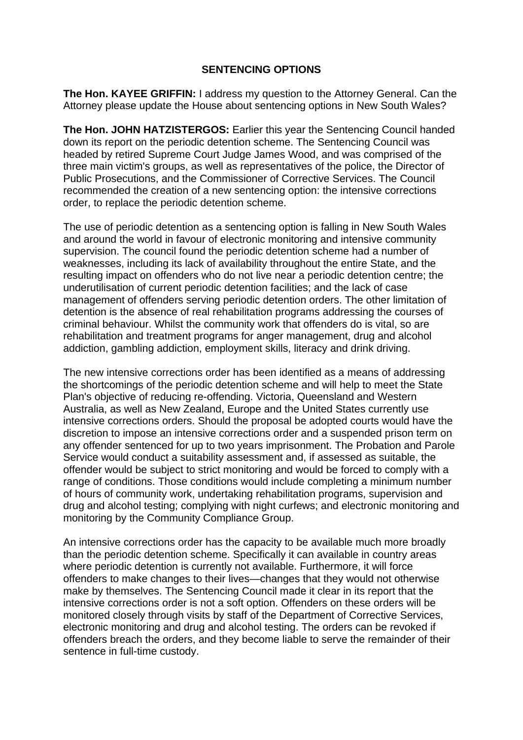## **SENTENCING OPTIONS**

**The Hon. KAYEE GRIFFIN:** I address my question to the Attorney General. Can the Attorney please update the House about sentencing options in New South Wales?

**The Hon. JOHN HATZISTERGOS:** Earlier this year the Sentencing Council handed down its report on the periodic detention scheme. The Sentencing Council was headed by retired Supreme Court Judge James Wood, and was comprised of the three main victim's groups, as well as representatives of the police, the Director of Public Prosecutions, and the Commissioner of Corrective Services. The Council recommended the creation of a new sentencing option: the intensive corrections order, to replace the periodic detention scheme.

The use of periodic detention as a sentencing option is falling in New South Wales and around the world in favour of electronic monitoring and intensive community supervision. The council found the periodic detention scheme had a number of weaknesses, including its lack of availability throughout the entire State, and the resulting impact on offenders who do not live near a periodic detention centre; the underutilisation of current periodic detention facilities; and the lack of case management of offenders serving periodic detention orders. The other limitation of detention is the absence of real rehabilitation programs addressing the courses of criminal behaviour. Whilst the community work that offenders do is vital, so are rehabilitation and treatment programs for anger management, drug and alcohol addiction, gambling addiction, employment skills, literacy and drink driving.

The new intensive corrections order has been identified as a means of addressing the shortcomings of the periodic detention scheme and will help to meet the State Plan's objective of reducing re-offending. Victoria, Queensland and Western Australia, as well as New Zealand, Europe and the United States currently use intensive corrections orders. Should the proposal be adopted courts would have the discretion to impose an intensive corrections order and a suspended prison term on any offender sentenced for up to two years imprisonment. The Probation and Parole Service would conduct a suitability assessment and, if assessed as suitable, the offender would be subject to strict monitoring and would be forced to comply with a range of conditions. Those conditions would include completing a minimum number of hours of community work, undertaking rehabilitation programs, supervision and drug and alcohol testing; complying with night curfews; and electronic monitoring and monitoring by the Community Compliance Group.

An intensive corrections order has the capacity to be available much more broadly than the periodic detention scheme. Specifically it can available in country areas where periodic detention is currently not available. Furthermore, it will force offenders to make changes to their lives—changes that they would not otherwise make by themselves. The Sentencing Council made it clear in its report that the intensive corrections order is not a soft option. Offenders on these orders will be monitored closely through visits by staff of the Department of Corrective Services, electronic monitoring and drug and alcohol testing. The orders can be revoked if offenders breach the orders, and they become liable to serve the remainder of their sentence in full-time custody.